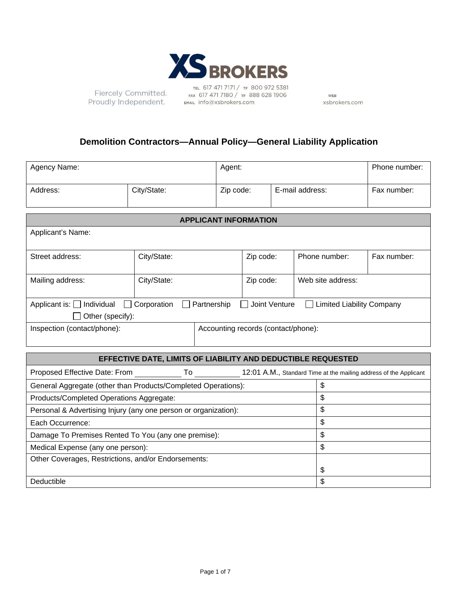

Fiercely Committed. Proudly Independent.

TEL 617 471 7171 / TF 800 972 5381<br>FAX 617 471 7180 / TF 888 628 1906 EMAIL info@xsbrokers.com

WEB xsbrokers.com

# **Demolition Contractors—Annual Policy—General Liability Application**

| Agency Name:            |  | Agent:    |                 | Phone number: |
|-------------------------|--|-----------|-----------------|---------------|
| City/State:<br>Address: |  | Zip code: | E-mail address: | Fax number:   |

| <b>APPLICANT INFORMATION</b>                                                                                                           |             |  |           |                   |             |  |
|----------------------------------------------------------------------------------------------------------------------------------------|-------------|--|-----------|-------------------|-------------|--|
| Applicant's Name:                                                                                                                      |             |  |           |                   |             |  |
| Street address:                                                                                                                        | City/State: |  | Zip code: | Phone number:     | Fax number: |  |
| Mailing address:                                                                                                                       | City/State: |  | Zip code: | Web site address: |             |  |
| Applicant is: $\Box$ Individual<br>$\Box$ Corporation<br>Partnership<br>Joint Venture<br>Limited Liability Company<br>Other (specify): |             |  |           |                   |             |  |
| Inspection (contact/phone):<br>Accounting records (contact/phone):                                                                     |             |  |           |                   |             |  |

# **EFFECTIVE DATE, LIMITS OF LIABILITY AND DEDUCTIBLE REQUESTED**

| Proposed Effective Date: From                                         | 10. | 12:01 A.M., Standard Time at the mailing address of the Applicant |  |  |  |
|-----------------------------------------------------------------------|-----|-------------------------------------------------------------------|--|--|--|
| \$<br>General Aggregate (other than Products/Completed Operations):   |     |                                                                   |  |  |  |
| Products/Completed Operations Aggregate:                              | \$  |                                                                   |  |  |  |
| \$<br>Personal & Advertising Injury (any one person or organization): |     |                                                                   |  |  |  |
| Each Occurrence:                                                      | S   |                                                                   |  |  |  |
| Damage To Premises Rented To You (any one premise):                   | \$  |                                                                   |  |  |  |
| Medical Expense (any one person):                                     | \$  |                                                                   |  |  |  |
| Other Coverages, Restrictions, and/or Endorsements:                   |     |                                                                   |  |  |  |
|                                                                       |     | \$                                                                |  |  |  |
| Deductible                                                            |     | \$                                                                |  |  |  |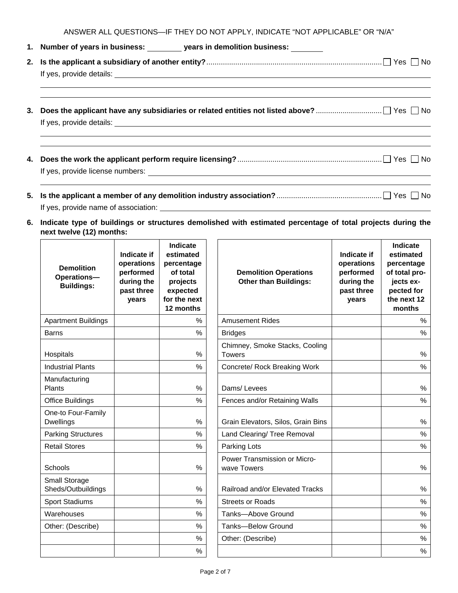ANSWER ALL QUESTIONS—IF THEY DO NOT APPLY, INDICATE "NOT APPLICABLE" OR "N/A"

|    | 1. Number of years in business: __________ years in demolition business: _______                                      |
|----|-----------------------------------------------------------------------------------------------------------------------|
|    |                                                                                                                       |
|    | <u> 2000 - Andrea Andrewski, marski politik (d. 1982)</u>                                                             |
| 3. | <u> 1989 - Andrea Santa Alemania, amerikan basar dan berasal dalam berasal dalam berasal dalam berasal dalam bera</u> |
|    |                                                                                                                       |
|    |                                                                                                                       |

If yes, provide name of association:

**6. Indicate type of buildings or structures demolished with estimated percentage of total projects during the next twelve (12) months:** 

| <b>Demolition</b><br><b>Operations-</b><br><b>Buildings:</b> | Indicate if<br>operations<br>performed<br>during the<br>past three<br>years | Indicate<br>estimated<br>percentage<br>of total<br>projects<br>expected<br>for the next<br>12 months |
|--------------------------------------------------------------|-----------------------------------------------------------------------------|------------------------------------------------------------------------------------------------------|
| <b>Apartment Buildings</b>                                   |                                                                             | ℅                                                                                                    |
| Barns                                                        |                                                                             | %                                                                                                    |
| Hospitals                                                    |                                                                             | $\%$                                                                                                 |
| <b>Industrial Plants</b>                                     |                                                                             | %                                                                                                    |
| Manufacturing<br>Plants                                      |                                                                             | %                                                                                                    |
| Office Buildings                                             |                                                                             | $\frac{1}{2}$                                                                                        |
| One-to Four-Family<br><b>Dwellings</b>                       |                                                                             | %                                                                                                    |
| <b>Parking Structures</b>                                    |                                                                             | %                                                                                                    |
| <b>Retail Stores</b>                                         |                                                                             | %                                                                                                    |
| Schools                                                      |                                                                             | $\%$                                                                                                 |
| <b>Small Storage</b><br>Sheds/Outbuildings                   |                                                                             | $\%$                                                                                                 |
| <b>Sport Stadiums</b>                                        |                                                                             | %                                                                                                    |
| Warehouses                                                   |                                                                             | %                                                                                                    |
| Other: (Describe)                                            |                                                                             | $\%$                                                                                                 |
|                                                              |                                                                             | %                                                                                                    |
|                                                              |                                                                             | %                                                                                                    |

| <b>Demolition</b><br>Operations-<br><b>Buildings:</b> | Indicate if<br>operations<br>performed<br>during the<br>past three<br>vears | Indicate<br>estimated<br>percentage<br>of total<br>projects<br>expected<br>for the next<br>12 months | <b>Demolition Operations</b><br><b>Other than Buildings:</b> | Indicate if<br>operations<br>performed<br>during the<br>past three<br>vears | Indicate<br>estimated<br>percentage<br>of total pro-<br>jects ex-<br>pected for<br>the next 12<br>months |
|-------------------------------------------------------|-----------------------------------------------------------------------------|------------------------------------------------------------------------------------------------------|--------------------------------------------------------------|-----------------------------------------------------------------------------|----------------------------------------------------------------------------------------------------------|
| <b>Apartment Buildings</b>                            |                                                                             | $\%$                                                                                                 | <b>Amusement Rides</b>                                       |                                                                             | %                                                                                                        |
| <b>Barns</b>                                          |                                                                             | $\%$                                                                                                 | <b>Bridges</b>                                               |                                                                             | $\frac{0}{0}$                                                                                            |
| Hospitals                                             |                                                                             | %                                                                                                    | Chimney, Smoke Stacks, Cooling<br><b>Towers</b>              |                                                                             | $\%$                                                                                                     |
| <b>Industrial Plants</b>                              |                                                                             | %                                                                                                    | Concrete/ Rock Breaking Work                                 |                                                                             | %                                                                                                        |
| Manufacturing<br>Plants                               |                                                                             | %                                                                                                    | Dams/Levees                                                  |                                                                             | %                                                                                                        |
| Office Buildings                                      |                                                                             | $\%$                                                                                                 | Fences and/or Retaining Walls                                |                                                                             | %                                                                                                        |
| One-to Four-Family<br>Dwellings                       |                                                                             | $\%$                                                                                                 | Grain Elevators, Silos, Grain Bins                           |                                                                             | %                                                                                                        |
| <b>Parking Structures</b>                             |                                                                             | $\%$                                                                                                 | Land Clearing/ Tree Removal                                  |                                                                             | %                                                                                                        |
| <b>Retail Stores</b>                                  |                                                                             | $\%$                                                                                                 | Parking Lots                                                 |                                                                             | $\%$                                                                                                     |
| Schools                                               |                                                                             | %                                                                                                    | Power Transmission or Micro-<br>wave Towers                  |                                                                             | $\%$                                                                                                     |
| Small Storage<br>Sheds/Outbuildings                   |                                                                             | %                                                                                                    | Railroad and/or Elevated Tracks                              |                                                                             | %                                                                                                        |
| <b>Sport Stadiums</b>                                 |                                                                             | %                                                                                                    | <b>Streets or Roads</b>                                      |                                                                             | $\%$                                                                                                     |
| Warehouses                                            |                                                                             | %                                                                                                    | Tanks-Above Ground                                           |                                                                             | %                                                                                                        |
| Other: (Describe)                                     |                                                                             | $\%$                                                                                                 | <b>Tanks-Below Ground</b>                                    |                                                                             | $\%$                                                                                                     |
|                                                       |                                                                             | %                                                                                                    | Other: (Describe)                                            |                                                                             | $\%$                                                                                                     |
|                                                       |                                                                             | $\%$                                                                                                 |                                                              |                                                                             | %                                                                                                        |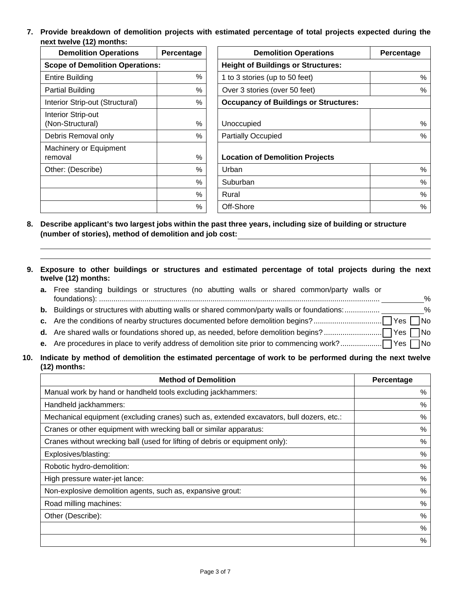**7. Provide breakdown of demolition projects with estimated percentage of total projects expected during the next twelve (12) months:** 

| <b>Demolition Operations</b>                                                        | Percentage    | <b>Demolition Operations</b>                                                       | Percentage |  |
|-------------------------------------------------------------------------------------|---------------|------------------------------------------------------------------------------------|------------|--|
| <b>Scope of Demolition Operations:</b>                                              |               | <b>Height of Buildings or Structures:</b>                                          |            |  |
| %<br><b>Entire Building</b>                                                         |               | 1 to 3 stories (up to 50 feet)                                                     | %          |  |
| <b>Partial Building</b>                                                             | $\frac{0}{0}$ | Over 3 stories (over 50 feet)<br>%<br><b>Occupancy of Buildings or Structures:</b> |            |  |
| Interior Strip-out (Structural)                                                     | %             |                                                                                    |            |  |
| Interior Strip-out<br>(Non-Structural)<br>%<br>$\frac{0}{0}$<br>Debris Removal only |               | Unoccupied<br><b>Partially Occupied</b>                                            | %<br>%     |  |
| Machinery or Equipment<br>$\frac{0}{0}$<br>removal                                  |               | <b>Location of Demolition Projects</b>                                             |            |  |
| Other: (Describe)                                                                   | %             | Urban                                                                              | %          |  |
|                                                                                     | $\frac{0}{0}$ | Suburban                                                                           | $\%$       |  |
|                                                                                     | $\frac{0}{0}$ | Rural                                                                              | %          |  |
|                                                                                     | %             | Off-Shore                                                                          | %          |  |

- **8. Describe applicant's two largest jobs within the past three years, including size of building or structure (number of stories), method of demolition and job cost:**
- **9. Exposure to other buildings or structures and estimated percentage of total projects during the next twelve (12) months:**

| a. Free standing buildings or structures (no abutting walls or shared common/party walls or |               |
|---------------------------------------------------------------------------------------------|---------------|
|                                                                                             | $\frac{6}{2}$ |

- **b.** Buildings or structures with abutting walls or shared common/party walls or foundations: ..................
- **c.** Are the conditions of nearby structures documented before demolition begins? ................................. Yes No
- **d.** Are shared walls or foundations shored up, as needed, before demolition begins? ............................ Yes No
- **e.** Are procedures in place to verify address of demolition site prior to commencing work? .................... Yes No

### **10. Indicate by method of demolition the estimated percentage of work to be performed during the next twelve (12) months:**

| <b>Method of Demolition</b>                                                              | Percentage |
|------------------------------------------------------------------------------------------|------------|
| Manual work by hand or handheld tools excluding jackhammers:                             | %          |
| Handheld jackhammers:                                                                    | $\%$       |
| Mechanical equipment (excluding cranes) such as, extended excavators, bull dozers, etc.: | $\%$       |
| Cranes or other equipment with wrecking ball or similar apparatus:                       | $\%$       |
| Cranes without wrecking ball (used for lifting of debris or equipment only):             | $\%$       |
| Explosives/blasting:                                                                     | $\%$       |
| Robotic hydro-demolition:                                                                | $\%$       |
| High pressure water-jet lance:                                                           | $\%$       |
| Non-explosive demolition agents, such as, expansive grout:                               | $\%$       |
| Road milling machines:                                                                   | $\%$       |
| Other (Describe):                                                                        | $\%$       |
|                                                                                          | $\%$       |
|                                                                                          | $\%$       |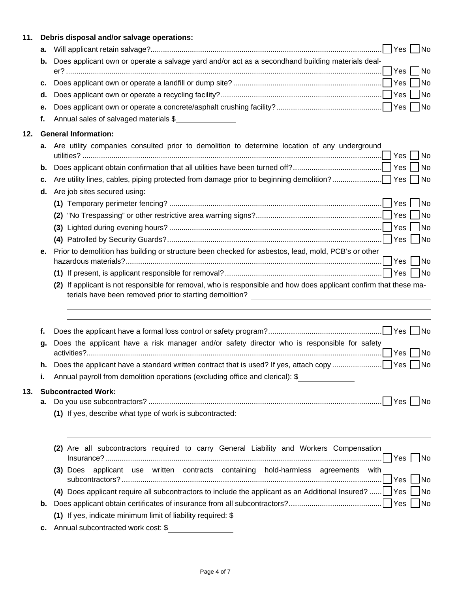| 11. |    | Debris disposal and/or salvage operations:                                                                                                                                                                                          |
|-----|----|-------------------------------------------------------------------------------------------------------------------------------------------------------------------------------------------------------------------------------------|
|     | а. |                                                                                                                                                                                                                                     |
|     | b. | Does applicant own or operate a salvage yard and/or act as a secondhand building materials deal-<br> No                                                                                                                             |
|     | с. | No                                                                                                                                                                                                                                  |
|     | d. | <b>No</b>                                                                                                                                                                                                                           |
|     | е. |                                                                                                                                                                                                                                     |
|     | f. | Annual sales of salvaged materials \$                                                                                                                                                                                               |
| 12. |    | <b>General Information:</b>                                                                                                                                                                                                         |
|     | а. | Are utility companies consulted prior to demolition to determine location of any underground                                                                                                                                        |
|     | b. |                                                                                                                                                                                                                                     |
|     | с. |                                                                                                                                                                                                                                     |
|     | d. | Are job sites secured using:                                                                                                                                                                                                        |
|     |    | $\overline{\mathsf{No}}$                                                                                                                                                                                                            |
|     |    | (2)                                                                                                                                                                                                                                 |
|     |    | (3)                                                                                                                                                                                                                                 |
|     |    |                                                                                                                                                                                                                                     |
|     | е. | Prior to demolition has building or structure been checked for asbestos, lead, mold, PCB's or other                                                                                                                                 |
|     |    |                                                                                                                                                                                                                                     |
|     |    | (2) If applicant is not responsible for removal, who is responsible and how does applicant confirm that these ma-<br>terials have been removed prior to starting demolition? The manufacturer of the manufacturer of the manufactur |
|     | f. |                                                                                                                                                                                                                                     |
|     | g. | Does the applicant have a risk manager and/or safety director who is responsible for safety                                                                                                                                         |
|     | h. | No                                                                                                                                                                                                                                  |
|     | i. | Annual payroll from demolition operations (excluding office and clerical): \$                                                                                                                                                       |
| 13. |    | <b>Subcontracted Work:</b>                                                                                                                                                                                                          |
|     | а. |                                                                                                                                                                                                                                     |
|     |    | ,我们也不能在这里的时候,我们也不能在这里的时候,我们也不能会在这里的时候,我们也不能会在这里的时候,我们也不能会在这里的时候,我们也不能会在这里的时候,我们也                                                                                                                                                    |
|     |    | (2) Are all subcontractors required to carry General Liability and Workers Compensation                                                                                                                                             |
|     |    | (3) Does applicant use written contracts containing hold-harmless agreements with                                                                                                                                                   |
|     |    | (4) Does applicant require all subcontractors to include the applicant as an Additional Insured? $\Box$ Yes $\Box$ No                                                                                                               |
|     | b. |                                                                                                                                                                                                                                     |
|     |    | (1) If yes, indicate minimum limit of liability required: \$                                                                                                                                                                        |
|     | с. | Annual subcontracted work cost: \$                                                                                                                                                                                                  |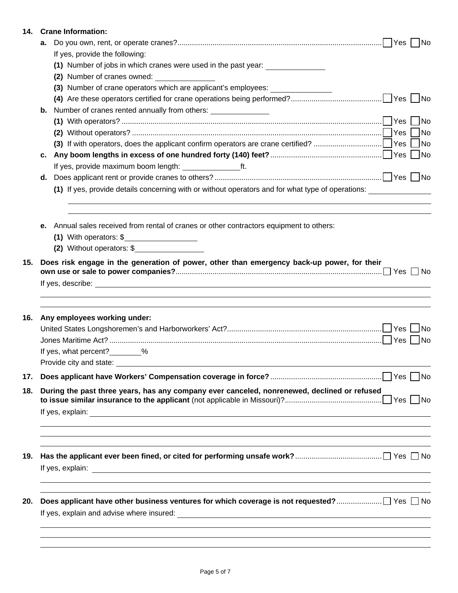| 14. |    | <b>Crane Information:</b>                                                                         |                             |
|-----|----|---------------------------------------------------------------------------------------------------|-----------------------------|
|     | а. |                                                                                                   |                             |
|     |    | If yes, provide the following:                                                                    |                             |
|     |    | (1) Number of jobs in which cranes were used in the past year:                                    |                             |
|     |    | (2) Number of cranes owned:                                                                       |                             |
|     |    | (3) Number of crane operators which are applicant's employees: _________________                  |                             |
|     |    |                                                                                                   |                             |
|     | b. | Number of cranes rented annually from others: ________________                                    |                             |
|     |    |                                                                                                   |                             |
|     |    |                                                                                                   | No                          |
|     |    |                                                                                                   | $\overline{\phantom{a}}$ No |
|     | с. |                                                                                                   |                             |
|     |    |                                                                                                   |                             |
|     | d. |                                                                                                   |                             |
|     |    | (1) If yes, provide details concerning with or without operators and for what type of operations: |                             |
|     | е. | Annual sales received from rental of cranes or other contractors equipment to others:             |                             |
|     |    | (2) Without operators: \$                                                                         |                             |
|     |    |                                                                                                   |                             |
| 16. |    | Any employees working under:                                                                      | <b>No</b>                   |
|     |    |                                                                                                   | No                          |
|     |    | If yes, what percent? %                                                                           |                             |
|     |    |                                                                                                   |                             |
| 17. |    |                                                                                                   |                             |
| 18. |    | During the past three years, has any company ever canceled, nonrenewed, declined or refused       |                             |
|     |    |                                                                                                   |                             |
| 19. |    | ,我们也不能会在这里,我们的人们就会在这里,我们的人们就会在这里,我们的人们就会在这里,我们的人们就会在这里,我们的人们就会在这里,我们的人们就会在这里,我们的                  |                             |
|     |    |                                                                                                   |                             |
| 20. |    | ,我们也不能在这里的时候,我们也不能在这里的时候,我们也不能会在这里的时候,我们也不能会在这里的时候,我们也不能会在这里的时候,我们也不能会在这里的时候,我们也不                 |                             |
|     |    |                                                                                                   |                             |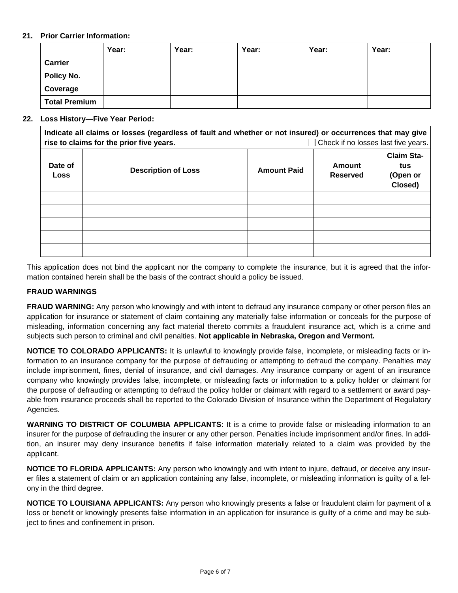# **21. Prior Carrier Information:**

|                      | Year: | Year: | Year: | Year: | Year: |
|----------------------|-------|-------|-------|-------|-------|
| Carrier              |       |       |       |       |       |
| Policy No.           |       |       |       |       |       |
| Coverage             |       |       |       |       |       |
| <b>Total Premium</b> |       |       |       |       |       |

#### **22. Loss History—Five Year Period:**

**Indicate all claims or losses (regardless of fault and whether or not insured) or occurrences that may give rise to claims for the prior five years.** Check if no losses last five years. **Date of**  Pate of **Rose Amount Paid Post in tensor in Series Conserved**<br>Loss Reserved **Reserved Claim Status (Open or Closed)** 

This application does not bind the applicant nor the company to complete the insurance, but it is agreed that the information contained herein shall be the basis of the contract should a policy be issued.

### **FRAUD WARNINGS**

**FRAUD WARNING:** Any person who knowingly and with intent to defraud any insurance company or other person files an application for insurance or statement of claim containing any materially false information or conceals for the purpose of misleading, information concerning any fact material thereto commits a fraudulent insurance act, which is a crime and subjects such person to criminal and civil penalties. **Not applicable in Nebraska, Oregon and Vermont.** 

**NOTICE TO COLORADO APPLICANTS:** It is unlawful to knowingly provide false, incomplete, or misleading facts or information to an insurance company for the purpose of defrauding or attempting to defraud the company. Penalties may include imprisonment, fines, denial of insurance, and civil damages. Any insurance company or agent of an insurance company who knowingly provides false, incomplete, or misleading facts or information to a policy holder or claimant for the purpose of defrauding or attempting to defraud the policy holder or claimant with regard to a settlement or award payable from insurance proceeds shall be reported to the Colorado Division of Insurance within the Department of Regulatory Agencies.

**WARNING TO DISTRICT OF COLUMBIA APPLICANTS:** It is a crime to provide false or misleading information to an insurer for the purpose of defrauding the insurer or any other person. Penalties include imprisonment and/or fines. In addition, an insurer may deny insurance benefits if false information materially related to a claim was provided by the applicant.

**NOTICE TO FLORIDA APPLICANTS:** Any person who knowingly and with intent to injure, defraud, or deceive any insurer files a statement of claim or an application containing any false, incomplete, or misleading information is guilty of a felony in the third degree.

**NOTICE TO LOUISIANA APPLICANTS:** Any person who knowingly presents a false or fraudulent claim for payment of a loss or benefit or knowingly presents false information in an application for insurance is guilty of a crime and may be subject to fines and confinement in prison.